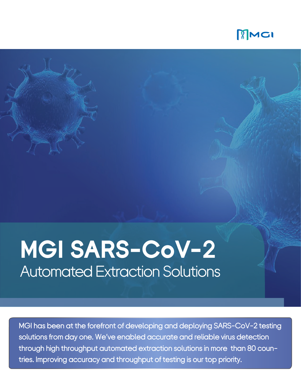

## **MGI SARS-CoV-2** Automated Extraction Solutions

MGI has been at the forefront of developing and deploying SARS-CoV-2 testing solutions from day one. We've enabled accurate and reliable virus detection through high throughput automated extraction solutions in more than 80 countries. Improving accuracy and throughput of testing is our top priority.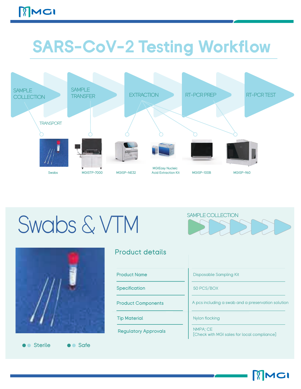## - **SARS-CoV-2 Testing Workflow**



## Swabs & VTM SAMPLE COLLECTION



**O** Sterile **C** Safe

#### Product details

Product Name

**Specification** 

Product Components

Tip Material

Regulatory Approvals

Disposable Sampling Kit

50 PCS/BOX

A pcs including a swab and a preservation solution

Nylon flocking

NMPA; CE [Check with MGI sales for local compliance]

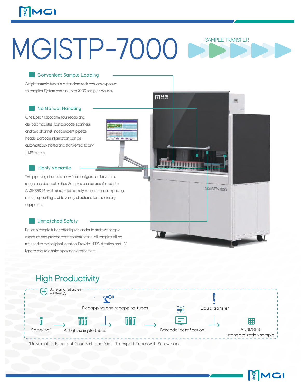## MCI

# MGISTP-7000

**MEL** 

**Allini Timmin** 

MGISTP-7000

#### Convenient Sample Loading

Airtight sample tubes in a standard rack reduces exposure to samples. System can run up to 7000 samples per day.

#### No Manual Handling

One Epson robot arm, four recap and de-cap modules, four barcode scanners, and two channel-independent pipette heads. Barcode information can be automatically stored and transferred to any LIMS system.

#### **Highly Versatile**

Two pipetting channels allow free configuration for volume range and disposable tips. Samples can be trasnferred into ANSI/SBS 96-well microplates rapidly without manual pipetting errors, supporting a wide variety of automation laboratory equipment.

#### Unmatched Safety

Re-cap sample tubes after liquid transfer to minimize sample exposure and prevent cross contamination. All samples will be returned to their original location. Provide HEPA-filtration and UV light to ensure a safer operation envrionment.

### **High Productivity**



\*Universal fit. Excellent fit on 5mL and 10mL Transport Tubes,with Screw cap.

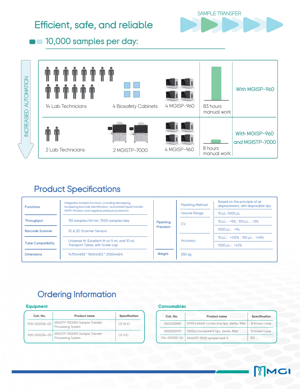### Efficient, safe, and reliable



**10,000 samples per day:** 



### Product Specifications

| <b>Functions</b>          | Integrates multiple functions, including decapping,<br>recapping, barcode identification, automated liquid transfer,<br>HEPA-filtration and negative pressure protection<br>192 samples/40 min; 7000 samples/day<br>1D & 2D Scanner Sensors |           | <b>Pipetting Method</b> | Based on the principle of air<br>displacement, with disposable tips |
|---------------------------|---------------------------------------------------------------------------------------------------------------------------------------------------------------------------------------------------------------------------------------------|-----------|-------------------------|---------------------------------------------------------------------|
|                           |                                                                                                                                                                                                                                             |           | <b>Volume Range</b>     | 10 μL-1000 μL                                                       |
| Throughput                |                                                                                                                                                                                                                                             | Pipetting | CV                      | $10 \mu L$ : <5%; $100 \mu L$ : <2%                                 |
| <b>Barcode Scanner</b>    |                                                                                                                                                                                                                                             | Precision |                         | $1000 \mu L$ : <1%                                                  |
|                           | Universal fit. Excellent fit on 5 mL and 10 mL                                                                                                                                                                                              |           | Accuracy                | $10 \mu L$ : < $\pm 10\%$ : 100 $\mu L$ : < $\pm 5\%$               |
| <b>Tube Compatibility</b> | Transport Tubes, with Screw cap                                                                                                                                                                                                             |           |                         | $1000 \mu L$ : < $\pm 2\%$                                          |
| <b>Dimensions</b>         | 1470mm(W) * 960mm(D) * 2100mm(H)                                                                                                                                                                                                            | Weight    | 550 kg                  |                                                                     |

### Ordering Information

#### **Equipment**

| Cat. No.      | <b>Product name</b>                                       | Specification |
|---------------|-----------------------------------------------------------|---------------|
| 900-000336-00 | MGISTP-7000RS Sample Transfer<br><b>Processing System</b> | CE RUO        |
| 900-000334-00 | MGISTP-7000RS Sample Transfer<br><b>Processing System</b> | CE IVD        |

#### **Consumables**

| Cat. No.      | <b>Product name</b>                           | Specification |
|---------------|-----------------------------------------------|---------------|
| 1000023969    | 1000ul black conductive tips, sterile, filter | 16 boxes/case |
| 1000023970    | 1000ul transparent tips, sterile, filter      | 16 boxes/case |
| 014-000101-00 | MGISTP-7000 sample rack A                     | EΑ            |

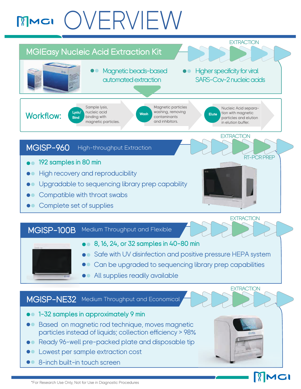## OVERVIEW MCI



**PMGI** 

8-inch built-in touch screen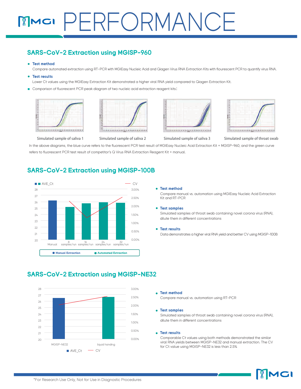## **MMGI PERFORMANCE**

#### **SARS-CoV-2 Extraction using MGISP-960**

#### **Test method**

Compare automated extraction using RT-PCR with MGIEasy Nucleic Acid and Qiagen Virus RNA Extraction Kits with flourescent PCR to quantify virus RNA.

#### **Test results**

Lower Ct values using the MGIEasy Extraction Kit demonstrated a higher viral RNA yield compared to Qiagen Extraction Kit.

Comparison of fluorescent PCR peak diagram of two nucleic acid extraction reagent kits:









Simulated sample of saliva 1 Simulated sample of saliva 2 Simulated sample of saliva 3 Simulated sample of throat swab

In the above diagrams, the blue curve refers to the fluorescent PCR test result of MGIEasy Nucleic Acid Extraction Kit + MGISP-960, and the green curve refers to fluorescent PCR test result of competitor's Q Virus RNA Extraction Reagent Kit + manual.

#### **SARS-CoV-2 Extraction using MGISP-100B**



#### **Test method**

Compare manual vs. automation using MGIEasy Nucleic Acid Extraction Kit and RT-PCR

#### **Test samples**

Simulated samples of throat swab containing novel corona virus (RNA), dilute them in different concentrations

#### **Test results**

Data demonstrates a higher viral RNA yield and better CV using MGISP-100B



#### **SARS-CoV-2 Extraction using MGISP-NE32**

#### **Test method**

Compare manual vs. automation using RT-PCR

#### **Test samples**

Simulated samples of throat swab containing novel corona virus (RNA), dilute them in different concentrations

#### **Test results**

Comparable Ct values using both methods demonstrated the similar viral RNA yields between MGISP-NE32 and manual extraction. The CV for Ct value using MGISP-NE32 is less than 2.5%

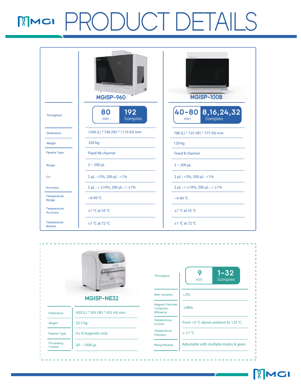## PRODUCT DETAILS

|                         | <b>MGISP-960</b>                                     | <b>Astizian-100</b><br>MGISP-100B                    |  |
|-------------------------|------------------------------------------------------|------------------------------------------------------|--|
| Throughput              | 192<br>80<br>Samples<br>min                          | 40-80 8, 16, 24, 32<br>Samples<br>min                |  |
| <b>Dimensions</b>       | 1240 (L) * 740 (W) * 1110 (H) mm                     | 780 (L) * 725 (W) * 777 (H) mm                       |  |
| Weight                  | 250 kg                                               | 120 kg                                               |  |
| <b>Pipette Type</b>     | Fixed 96 channel                                     | <b>Fixed 8 channel</b>                               |  |
| Range                   | $2 \sim 200 \mu L$                                   | $2 \sim 200 \mu L$                                   |  |
| <b>CV</b>               | 2 µL: <5%, 200 µL: <1%                               | 2 µL: <5%, 200 µL: <1%                               |  |
| Accuracy                | $2 \mu L$ : < $\pm 10\%$ , 200 $\mu L$ : < $\pm 1\%$ | $2 \mu L$ : < $\pm 10\%$ , 200 $\mu L$ : < $\pm 1\%$ |  |
| Temperature<br>Range    | $~\sim$ 4-99 °C                                      | $~\sim$ 4-90 °C                                      |  |
| Temperature<br>Accuracy | $\pm$ 1 °C at 55 °C                                  | $\pm$ 1 °C at 55 °C                                  |  |
| Temperature<br>Module   | $\pm$ 1 °C at 72 °C                                  | $\pm$ 1 °C at 72 °C                                  |  |

| (11:15)              |                                | Throughput                                          | $1 - 32$<br>9<br>Samples<br>min        |
|----------------------|--------------------------------|-----------------------------------------------------|----------------------------------------|
|                      | MGISP-NE32                     | <b>Well Variation</b>                               | $<$ 3%                                 |
| <b>Dimensions</b>    | 430 (L) * 395 (W) * 435 (H) mm | <b>Magnet Particles</b><br>Collection<br>Efficiency | $\geq 98\%$                            |
| Weight               | 32.5 kg                        | Temperature<br>Control                              | From +5 °C above ambient to 125 °C     |
| Pipette Type         | 4 x 8 magnetic rods            | Temperature<br>Precision                            | $\leq \pm 1$ °C                        |
| Processing<br>Volume | $20 \sim 1000 \,\mu$ L         | <b>Mixing Module</b>                                | Adjustable with multiple modes & gears |